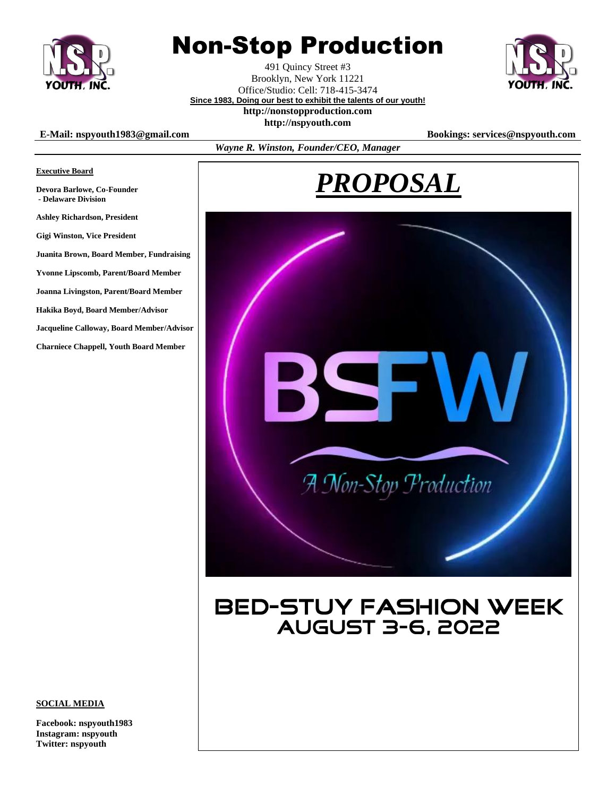

**Executive Board**

**Devora Barlowe, Co-Founder - Delaware Division**

**Ashley Richardson, President Gigi Winston, Vice President**

# Non-Stop Production

491 Quincy Street #3 Brooklyn, New York 11221 Office/Studio: Cell: 718-415-3474 **Since 1983, Doing our best to exhibit the talents of our youth!**



### **http://nonstopproduction.com**

**http://nspyouth.com**

#### **E-Mail: nspyouth1983@gmail.com Bookings: services@nspyouth.com**

**Juanita Brown, Board Member, Fundraising Yvonne Lipscomb, Parent/Board Member Joanna Livingston, Parent/Board Member**

**Jacqueline Calloway, Board Member/Advisor Charniece Chappell, Youth Board Member**

**Hakika Boyd, Board Member/Advisor**

*Wayne R. Winston, Founder/CEO, Manager*

# *PROPOSAL*



## **BED-STUY FASHION WEEK AUGUST 3-6, 2022**

#### **SOCIAL MEDIA**

**Facebook: nspyouth1983 Instagram: nspyouth Twitter: nspyouth**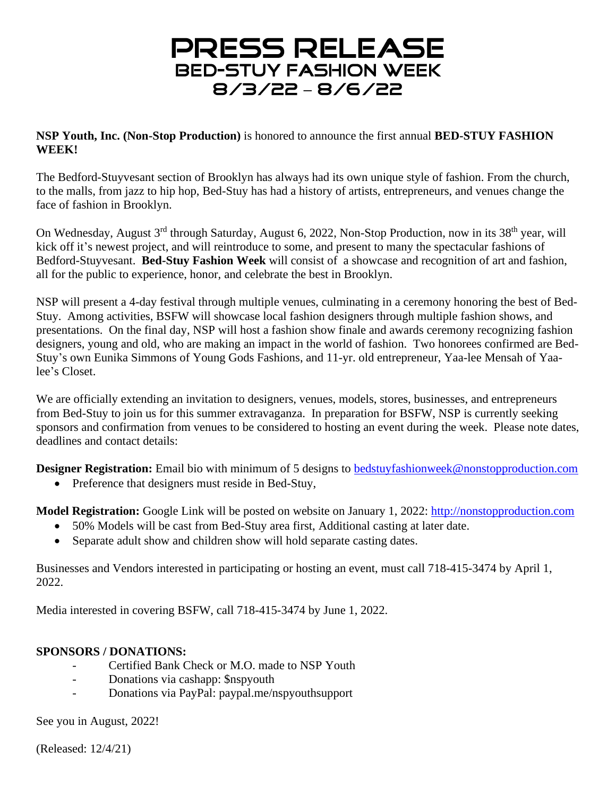## **PRESS RELEASE BED-STUY FASHION WEEK** 8/3/22 - 8/6/22

**NSP Youth, Inc. (Non-Stop Production)** is honored to announce the first annual **BED-STUY FASHION WEEK!**

The Bedford-Stuyvesant section of Brooklyn has always had its own unique style of fashion. From the church, to the malls, from jazz to hip hop, Bed-Stuy has had a history of artists, entrepreneurs, and venues change the face of fashion in Brooklyn.

On Wednesday, August 3<sup>rd</sup> through Saturday, August 6, 2022, Non-Stop Production, now in its 38<sup>th</sup> year, will kick off it's newest project, and will reintroduce to some, and present to many the spectacular fashions of Bedford-Stuyvesant. **Bed-Stuy Fashion Week** will consist of a showcase and recognition of art and fashion, all for the public to experience, honor, and celebrate the best in Brooklyn.

NSP will present a 4-day festival through multiple venues, culminating in a ceremony honoring the best of Bed-Stuy. Among activities, BSFW will showcase local fashion designers through multiple fashion shows, and presentations. On the final day, NSP will host a fashion show finale and awards ceremony recognizing fashion designers, young and old, who are making an impact in the world of fashion. Two honorees confirmed are Bed-Stuy's own Eunika Simmons of Young Gods Fashions, and 11-yr. old entrepreneur, Yaa-lee Mensah of Yaalee's Closet.

We are officially extending an invitation to designers, venues, models, stores, businesses, and entrepreneurs from Bed-Stuy to join us for this summer extravaganza. In preparation for BSFW, NSP is currently seeking sponsors and confirmation from venues to be considered to hosting an event during the week. Please note dates, deadlines and contact details:

**Designer Registration:** Email bio with minimum of 5 designs to **[bedstuyfashionweek@nonstopproduction.com](mailto:bedstuyfashionweek@nonstopproduction.com)** 

• Preference that designers must reside in Bed-Stuy,

**Model Registration:** Google Link will be posted on website on January 1, 2022: [http://nonstopproduction.com](http://nonstopproduction.com/)

- 50% Models will be cast from Bed-Stuy area first, Additional casting at later date.
- Separate adult show and children show will hold separate casting dates.

Businesses and Vendors interested in participating or hosting an event, must call 718-415-3474 by April 1, 2022.

Media interested in covering BSFW, call 718-415-3474 by June 1, 2022.

### **SPONSORS / DONATIONS:**

- Certified Bank Check or M.O. made to NSP Youth
- Donations via cashapp: \$nspyouth
- Donations via PayPal: paypal.me/nspyouthsupport

See you in August, 2022!

(Released: 12/4/21)